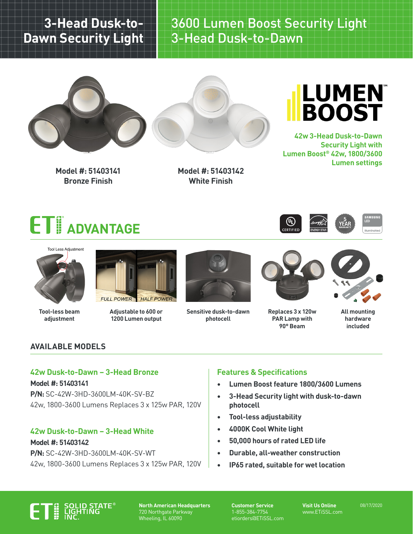# **3-Head Dusk-to-Dawn Security Light**

3600 Lumen Boost Security Light 3-Head Dusk-to-Dawn





**Model #: 51403141 Bronze Finish**

**Model #: 51403142 White Finish**



**42w 3-Head Dusk-to-Dawn Security Light with Lumen Boost® 42w, 1800/3600 Lumen settings**





**Tool-less beam adjustment**



**Adjustable to 600 or 1200 Lumen output**



**Sensitive dusk-to-dawn photocell**



**Replaces 3 x 120w PAR Lamp with 90° Beam**



**All mounting hardware included**

# **AVAILABLE MODELS**

### **42w Dusk-to-Dawn – 3-Head Bronze**

**Model #: 51403141 P/N:** SC-42W-3HD-3600LM-40K-SV-BZ 42w, 1800-3600 Lumens Replaces 3 x 125w PAR, 120V

## **42w Dusk-to-Dawn – 3-Head White**

**Model #: 51403142 P/N:** SC-42W-3HD-3600LM-40K-SV-WT 42w, 1800-3600 Lumens Replaces 3 x 125w PAR, 120V

# **Features & Specifications**

- **• Lumen Boost feature 1800/3600 Lumens**
- **• 3-Head Security light with dusk-to-dawn photocell**
- **• Tool-less adjustability**
- **• 4000K Cool White light**
- **• 50,000 hours of rated LED life**
- **• Durable, all-weather construction**
- **• IP65 rated, suitable for wet location**



**North American Headquarters** 720 Northgate Parkway Wheeling, IL 60090

**Customer Service** 1-855-384-7754 etiorders@ETiSSL.com

**Visit Us Online** www.ETiSSL.com 08/17/2020